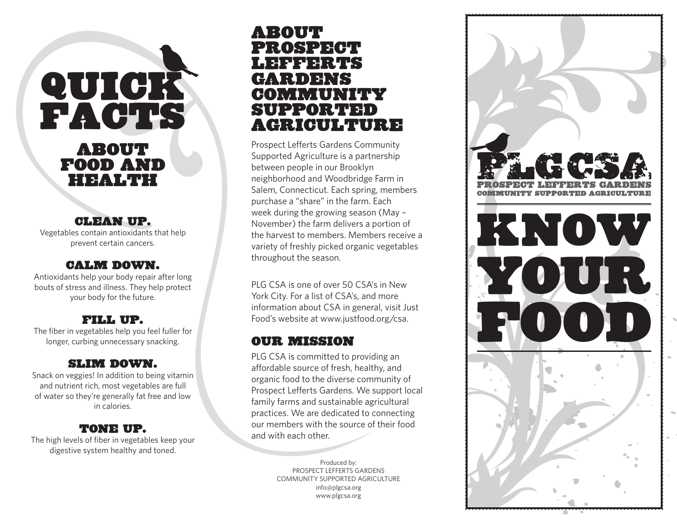# **QUICK** Facts

# About Food and Health

# Clean up.

Vegetables contain antioxidants that help prevent certain cancers.

### Calm down.

Antioxidants help your body repair after long bouts of stress and illness. They help protect your body for the future.

# Fill up.

The fiber in vegetables help you feel fuller for longer, curbing unnecessary snacking.

# Slim down.

Snack on veggies! In addition to being vitamin and nutrient rich, most vegetables are full of water so they're generally fat free and low in calories.

# Tone up.

The high levels of fiber in vegetables keep your digestive system healthy and toned.

# About prospect lefferts gardens community supported agriculture

Prospect Lefferts Gardens Community Supported Agriculture is a partnership between people in our Brooklyn neighborhood and Woodbridge Farm in Salem, Connecticut. Each spring, members purchase a "share" in the farm. Each week during the growing season (May – November) the farm delivers a portion of the harvest to members. Members receive a variety of freshly picked organic vegetables throughout the season.

PLG CSA is one of over 50 CSA's in New York City. For a list of CSA's, and more information about CSA in general, visit Just Food's website at www.justfood.org/csa.

# our Mission

PLG CSA is committed to providing an affordable source of fresh, healthy, and organic food to the diverse community of Prospect Lefferts Gardens. We support local family farms and sustainable agricultural practices. We are dedicated to connecting our members with the source of their food and with each other.

> Produced by: Prospect Lefferts Gardens Community Supported Agriculture info@plgcsa.org www.plgcsa.org